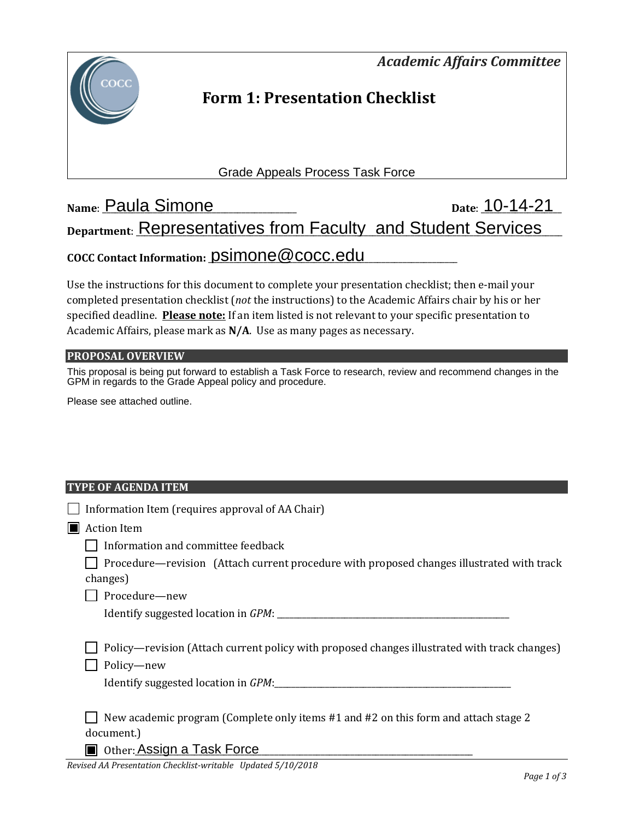*Academic Affairs Committee* 



## **Form 1: Presentation Checklist**

Grade Appeals Process Task Force

# **Name**: \_\_\_\_\_\_\_\_\_\_\_\_\_\_\_\_\_\_\_\_\_\_\_\_\_\_\_\_\_\_\_\_\_\_\_\_\_\_\_\_\_\_\_\_\_\_ **Date**: \_\_\_\_\_\_\_\_\_\_\_\_\_\_\_\_\_\_\_ Paula Simone 10-14-21 Department: **Representatives from Faculty and Student Services COCC Contact Information:** \_\_\_\_\_\_\_\_\_\_\_\_\_\_\_\_\_\_\_\_\_\_\_\_\_\_\_\_\_\_\_\_\_\_\_\_\_\_\_\_\_\_\_\_\_\_\_\_\_\_\_\_\_\_\_\_\_\_\_ psimone@cocc.edu

Use the instructions for this document to complete your presentation checklist; then e-mail your completed presentation checklist (*not* the instructions) to the Academic Affairs chair by his or her specified deadline. **Please note:** If an item listed is not relevant to your specific presentation to Academic Affairs, please mark as **N/A**. Use as many pages as necessary.

#### **PROPOSAL OVERVIEW**

This proposal is being put forward to establish a Task Force to research, review and recommend changes in the GPM in regards to the Grade Appeal policy and procedure.

Please see attached outline.

#### **TYPE OF AGENDA ITEM**

| Information Item (requires approval of AA Chair)                                                                                                  |
|---------------------------------------------------------------------------------------------------------------------------------------------------|
| <b>Action Item</b>                                                                                                                                |
| Information and committee feedback                                                                                                                |
| Procedure—revision (Attach current procedure with proposed changes illustrated with track<br>changes)                                             |
| Procedure-new                                                                                                                                     |
|                                                                                                                                                   |
| Policy—revision (Attach current policy with proposed changes illustrated with track changes)<br>Policy-new<br>Identify suggested location in GPM: |
| New academic program (Complete only items #1 and #2 on this form and attach stage 2<br>document.)                                                 |
| Other: Assign a Task Force                                                                                                                        |

*Revised AA Presentation Checklist-writable Updated 5/10/2018*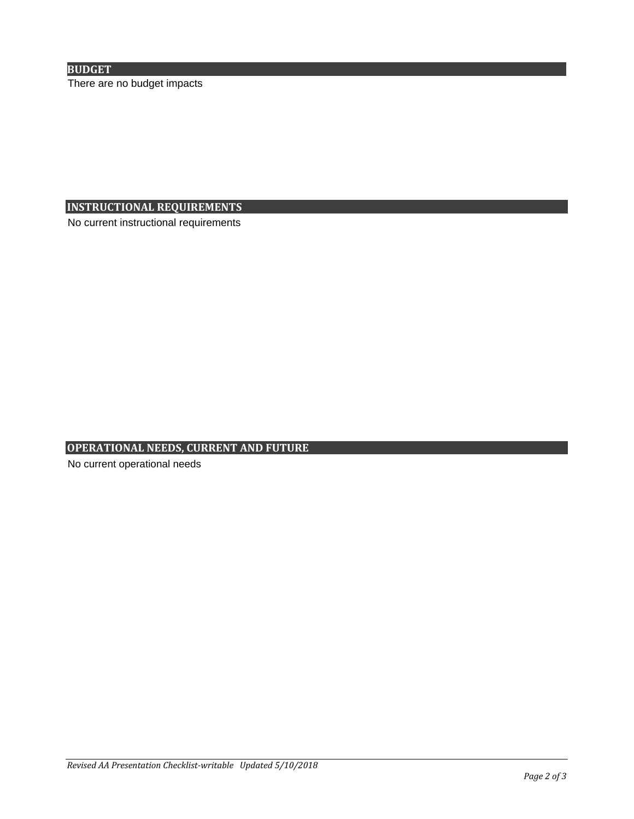#### **BUDGET**

There are no budget impacts

#### **INSTRUCTIONAL REQUIREMENTS**

No current instructional requirements

#### **OPERATIONAL NEEDS, CURRENT AND FUTURE**

No current operational needs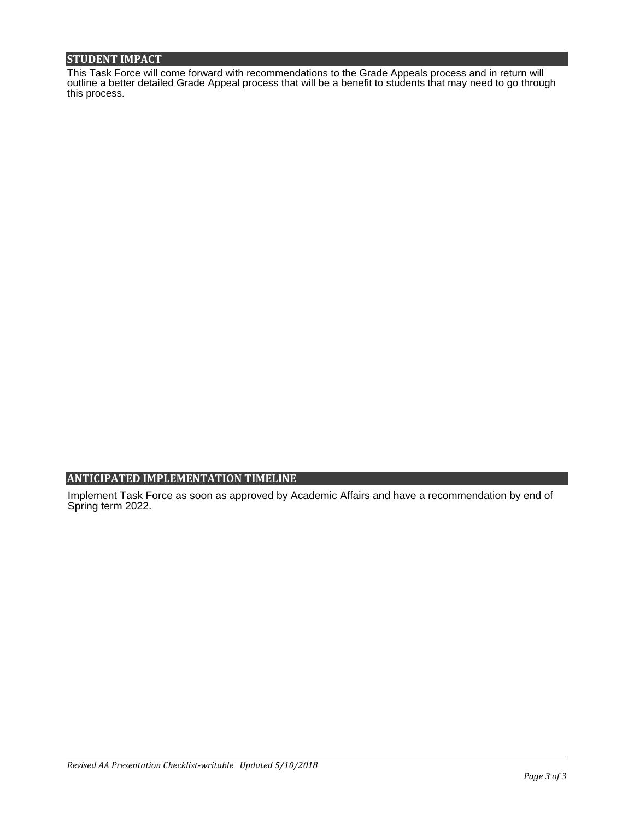#### **STUDENT IMPACT**

This Task Force will come forward with recommendations to the Grade Appeals process and in return will outline a better detailed Grade Appeal process that will be a benefit to students that may need to go through this process.

#### **ANTICIPATED IMPLEMENTATION TIMELINE**

Implement Task Force as soon as approved by Academic Affairs and have a recommendation by end of Spring term 2022.